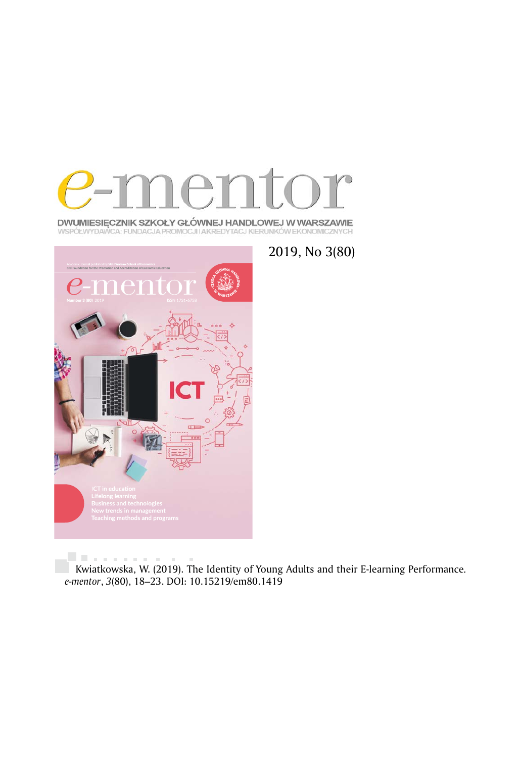

**DWUMIESIĘCZNIK SZKOŁY GŁÓWNEJ HANDLOWEJ W WARSZAWIE**<br>WSPÓŁWYDAWCA: FUNDACJA PROMOCJI IAKREDYTACJ KIERUNKÓW EKONOMICZNYCH



2019, No 3(80)

. . . . . . . . . . . . Kwiatkowska, W. (2019). The Identity of Young Adults and their E-learning Performance*. e-mentor*, *3*(80), 18–23. DOI: 10.15219/em80.1419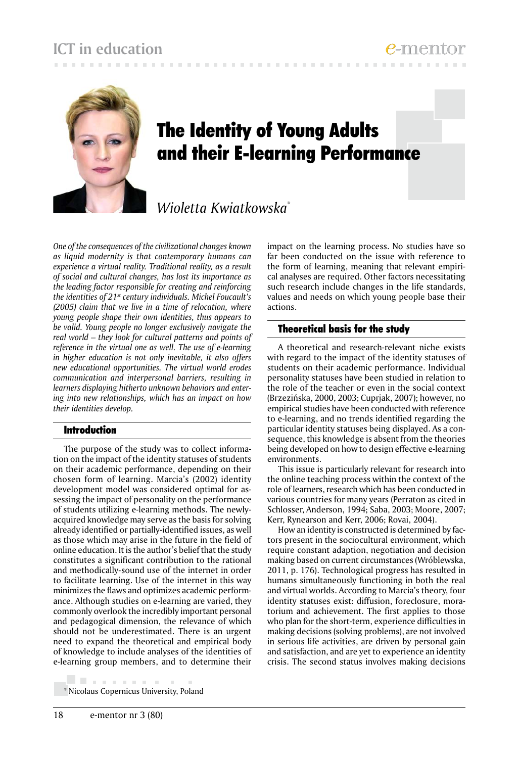## **ICT in education**



# The Identity of Young Adults and their E-learning Performance

## *Wioletta Kwiatkowska*\*

*One of the consequences of the civilizational changes known as liquid modernity is that contemporary humans can experience a virtual reality. Traditional reality, as a result of social and cultural changes, has lost its importance as the leading factor responsible for creating and reinforcing the identities of 21st century individuals. Michel Foucault's (2005) claim that we live in a time of relocation, where young people shape their own identities, thus appears to be valid. Young people no longer exclusively navigate the real world – they look for cultural patterns and points of reference in the virtual one as well. The use of e-learning in higher education is not only inevitable, it also offers new educational opportunities. The virtual world erodes communication and interpersonal barriers, resulting in learners displaying hitherto unknown behaviors and entering into new relationships, which has an impact on how their identities develop.*

#### Introduction

The purpose of the study was to collect information on the impact of the identity statuses of students on their academic performance, depending on their chosen form of learning. Marcia's (2002) identity development model was considered optimal for assessing the impact of personality on the performance of students utilizing e-learning methods. The newlyacquired knowledge may serve as the basis for solving already identified or partially-identified issues, as well as those which may arise in the future in the field of online education. It is the author's belief that the study constitutes a significant contribution to the rational and methodically-sound use of the internet in order to facilitate learning. Use of the internet in this way minimizes the flaws and optimizes academic performance. Although studies on e-learning are varied, they commonly overlook the incredibly important personal and pedagogical dimension, the relevance of which should not be underestimated. There is an urgent need to expand the theoretical and empirical body of knowledge to include analyses of the identities of e-learning group members, and to determine their

. . . . . . . . . \* Nicolaus Copernicus University, Poland impact on the learning process. No studies have so far been conducted on the issue with reference to the form of learning, meaning that relevant empirical analyses are required. Other factors necessitating such research include changes in the life standards, values and needs on which young people base their actions.

#### Theoretical basis for the study

A theoretical and research-relevant niche exists with regard to the impact of the identity statuses of students on their academic performance. Individual personality statuses have been studied in relation to the role of the teacher or even in the social context (Brzezińska, 2000, 2003; Cuprjak, 2007); however, no empirical studies have been conducted with reference to e-learning, and no trends identified regarding the particular identity statuses being displayed. As a consequence, this knowledge is absent from the theories being developed on how to design effective e-learning environments.

This issue is particularly relevant for research into the online teaching process within the context of the role of learners, research which has been conducted in various countries for many years (Perraton as cited in Schlosser, Anderson, 1994; Saba, 2003; Moore, 2007; Kerr, Rynearson and Kerr, 2006; Rovai, 2004).

How an identity is constructed is determined by factors present in the sociocultural environment, which require constant adaption, negotiation and decision making based on current circumstances (Wróblewska, 2011, p. 176). Technological progress has resulted in humans simultaneously functioning in both the real and virtual worlds. According to Marcia's theory, four identity statuses exist: diffusion, foreclosure, moratorium and achievement. The first applies to those who plan for the short-term, experience difficulties in making decisions (solving problems), are not involved in serious life activities, are driven by personal gain and satisfaction, and are yet to experience an identity crisis. The second status involves making decisions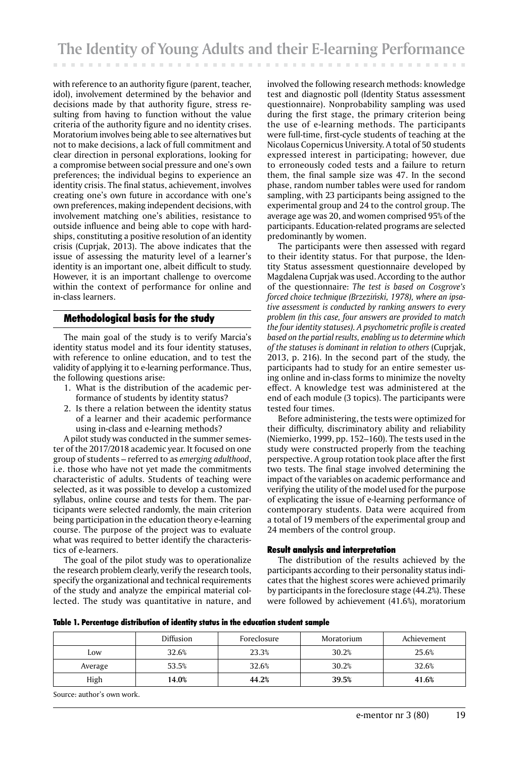with reference to an authority figure (parent, teacher, idol), involvement determined by the behavior and decisions made by that authority figure, stress resulting from having to function without the value criteria of the authority figure and no identity crises. Moratorium involves being able to see alternatives but not to make decisions, a lack of full commitment and clear direction in personal explorations, looking for a compromise between social pressure and one's own preferences; the individual begins to experience an identity crisis. The final status, achievement, involves creating one's own future in accordance with one's own preferences, making independent decisions, with involvement matching one's abilities, resistance to outside influence and being able to cope with hardships, constituting a positive resolution of an identity crisis (Cuprjak, 2013). The above indicates that the issue of assessing the maturity level of a learner's identity is an important one, albeit difficult to study. However, it is an important challenge to overcome within the context of performance for online and in-class learners.

#### Methodological basis for the study

The main goal of the study is to verify Marcia's identity status model and its four identity statuses, with reference to online education, and to test the validity of applying it to e-learning performance. Thus, the following questions arise:

- 1. What is the distribution of the academic performance of students by identity status?
- 2. Is there a relation between the identity status of a learner and their academic performance using in-class and e-learning methods?

A pilot study was conducted in the summer semester of the 2017/2018 academic year. It focused on one group of students – referred to as *emerging adulthood*, i.e. those who have not yet made the commitments characteristic of adults. Students of teaching were selected, as it was possible to develop a customized syllabus, online course and tests for them. The participants were selected randomly, the main criterion being participation in the education theory e-learning course. The purpose of the project was to evaluate what was required to better identify the characteristics of e-learners.

The goal of the pilot study was to operationalize the research problem clearly, verify the research tools, specify the organizational and technical requirements of the study and analyze the empirical material collected. The study was quantitative in nature, and

involved the following research methods: knowledge test and diagnostic poll (Identity Status assessment questionnaire). Nonprobability sampling was used during the first stage, the primary criterion being the use of e-learning methods. The participants were full-time, first-cycle students of teaching at the Nicolaus Copernicus University. A total of 50 students expressed interest in participating; however, due to erroneously coded tests and a failure to return them, the final sample size was 47. In the second phase, random number tables were used for random sampling, with 23 participants being assigned to the experimental group and 24 to the control group. The average age was 20, and women comprised 95% of the participants. Education-related programs are selected predominantly by women.

The participants were then assessed with regard to their identity status. For that purpose, the Identity Status assessment questionnaire developed by Magdalena Cuprjak was used. According to the author of the questionnaire: *The test is based on Cosgrove's forced choice technique (Brzeziński, 1978), where an ipsative assessment is conducted by ranking answers to every problem (in this case, four answers are provided to match the four identity statuses). A psychometric profile is created based on the partial results, enabling us to determine which of the statuses is dominant in relation to others* (Cuprjak, 2013, p. 216). In the second part of the study, the participants had to study for an entire semester using online and in-class forms to minimize the novelty effect. A knowledge test was administered at the end of each module (3 topics). The participants were tested four times.

Before administering, the tests were optimized for their difficulty, discriminatory ability and reliability (Niemierko, 1999, pp. 152–160). The tests used in the study were constructed properly from the teaching perspective. A group rotation took place after the first two tests. The final stage involved determining the impact of the variables on academic performance and verifying the utility of the model used for the purpose of explicating the issue of e-learning performance of contemporary students. Data were acquired from a total of 19 members of the experimental group and 24 members of the control group.

#### Result analysis and interpretation

The distribution of the results achieved by the participants according to their personality status indicates that the highest scores were achieved primarily by participants in the foreclosure stage (44.2%). These were followed by achievement (41.6%), moratorium

| Table 1. Percentage distribution of identity status in the education student sample |  |
|-------------------------------------------------------------------------------------|--|
|-------------------------------------------------------------------------------------|--|

|         | <b>Diffusion</b> | Moratorium<br>Foreclosure |       | Achievement |  |
|---------|------------------|---------------------------|-------|-------------|--|
| Low     | 32.6%            | 23.3%                     | 30.2% | 25.6%       |  |
| Average | 53.5%            | 32.6%                     | 30.2% | 32.6%       |  |
| High    | 14.0%            | 44.2%                     | 39.5% | 41.6%       |  |

Source: author's own work.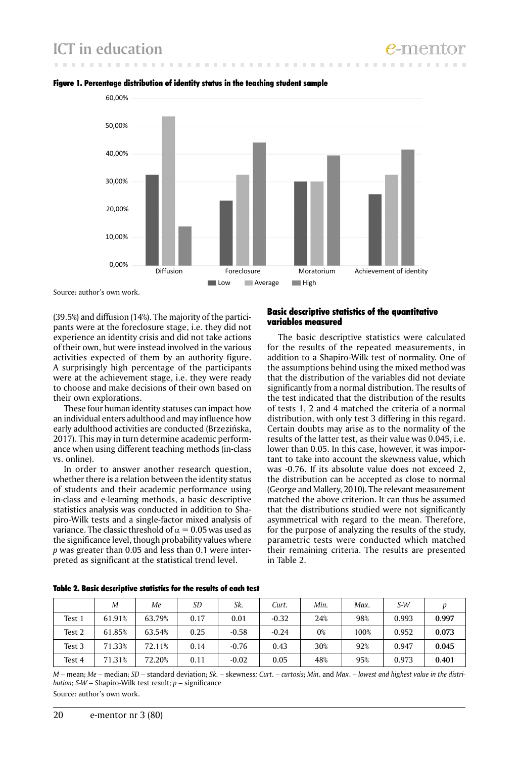# **ICT in education**



#### Figure 1. Percentage distribution of identity status in the teaching student sample

Source: author's own work.

(39.5%) and diffusion (14%). The majority of the participants were at the foreclosure stage, i.e. they did not experience an identity crisis and did not take actions of their own, but were instead involved in the various activities expected of them by an authority figure. A surprisingly high percentage of the participants were at the achievement stage, i.e. they were ready to choose and make decisions of their own based on their own explorations.

These four human identity statuses can impact how an individual enters adulthood and may influence how early adulthood activities are conducted (Brzezińska, 2017). This may in turn determine academic performance when using different teaching methods (in-class vs. online).

In order to answer another research question, whether there is a relation between the identity status of students and their academic performance using in-class and e-learning methods, a basic descriptive statistics analysis was conducted in addition to Shapiro-Wilk tests and a single-factor mixed analysis of variance. The classic threshold of  $\alpha = 0.05$  was used as the significance level, though probability values where *p* was greater than 0.05 and less than 0.1 were interpreted as significant at the statistical trend level.

#### Basic descriptive statistics of the quantitative variables measured

The basic descriptive statistics were calculated for the results of the repeated measurements, in addition to a Shapiro-Wilk test of normality. One of the assumptions behind using the mixed method was that the distribution of the variables did not deviate significantly from a normal distribution. The results of the test indicated that the distribution of the results of tests 1, 2 and 4 matched the criteria of a normal distribution, with only test 3 differing in this regard. Certain doubts may arise as to the normality of the results of the latter test, as their value was 0.045, i.e. lower than 0.05. In this case, however, it was important to take into account the skewness value, which was -0.76. If its absolute value does not exceed 2, the distribution can be accepted as close to normal (George and Mallery, 2010). The relevant measurement matched the above criterion. It can thus be assumed that the distributions studied were not significantly asymmetrical with regard to the mean. Therefore, for the purpose of analyzing the results of the study, parametric tests were conducted which matched their remaining criteria. The results are presented in Table 2.

|        | M      | Me     | SD   | Sk.     | Curt.   | Min.  | Max. | $S-W$ |       |
|--------|--------|--------|------|---------|---------|-------|------|-------|-------|
| Test 1 | 61.91% | 63.79% | 0.17 | 0.01    | $-0.32$ | 24%   | 98%  | 0.993 | 0.997 |
| Test 2 | 61.85% | 63.54% | 0.25 | $-0.58$ | $-0.24$ | $0\%$ | 100% | 0.952 | 0.073 |
| Test 3 | 71.33% | 72.11% | 0.14 | $-0.76$ | 0.43    | 30%   | 92%  | 0.947 | 0.045 |
| Test 4 | 71.31% | 72.20% | 0.11 | $-0.02$ | 0.05    | 48%   | 95%  | 0.973 | 0.401 |

Table 2. Basic descriptive statistics for the results of each test

*M* – mean; *Me* – median; *SD* – standard deviation; *Sk.* – skewness*; Curt. – curtosis*; *Min*. and *Max*. – *lowest and highest value in the distribution*; *S-W* – Shapiro-Wilk test result; *p* – significance Source: author's own work.

20 e-mentor nr 3 (80)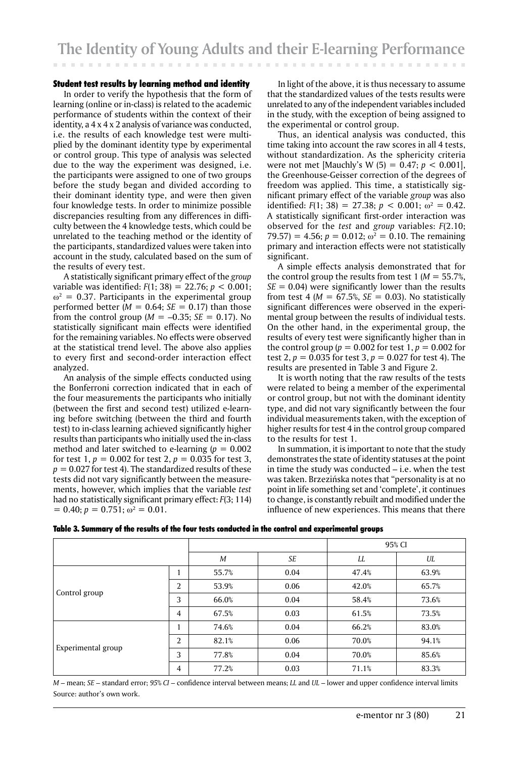#### Student test results by learning method and identity

In order to verify the hypothesis that the form of learning (online or in-class) is related to the academic performance of students within the context of their identity, a 4 x 4 x 2 analysis of variance was conducted, i.e. the results of each knowledge test were multiplied by the dominant identity type by experimental or control group. This type of analysis was selected due to the way the experiment was designed, i.e. the participants were assigned to one of two groups before the study began and divided according to their dominant identity type, and were then given four knowledge tests. In order to minimize possible discrepancies resulting from any differences in difficulty between the 4 knowledge tests, which could be unrelated to the teaching method or the identity of the participants, standardized values were taken into account in the study, calculated based on the sum of the results of every test.

A statistically significant primary effect of the *group*  variable was identified: *F*(1; 38) = 22.76; *p* < 0.001;  $\omega^2$  = 0.37. Participants in the experimental group performed better  $(M = 0.64; SE = 0.17)$  than those from the control group ( $M = -0.35$ ; *SE* = 0.17). No statistically significant main effects were identified for the remaining variables. No effects were observed at the statistical trend level. The above also applies to every first and second-order interaction effect analyzed.

An analysis of the simple effects conducted using the Bonferroni correction indicated that in each of the four measurements the participants who initially (between the first and second test) utilized e-learning before switching (between the third and fourth test) to in-class learning achieved significantly higher results than participants who initially used the in-class method and later switched to e-learning  $(p = 0.002)$ for test 1,  $p = 0.002$  for test 2,  $p = 0.035$  for test 3,  $p = 0.027$  for test 4). The standardized results of these tests did not vary significantly between the measurements, however, which implies that the variable *test* had no statistically significant primary effect: *F*(3; 114)  $= 0.40; p = 0.751; \omega^2 = 0.01.$ 

In light of the above, it is thus necessary to assume that the standardized values of the tests results were unrelated to any of the independent variables included in the study, with the exception of being assigned to the experimental or control group.

Thus, an identical analysis was conducted, this time taking into account the raw scores in all 4 tests, without standardization. As the sphericity criteria were not met [Mauchly's W (5) = 0.47; *p* < 0.001], the Greenhouse-Geisser correction of the degrees of freedom was applied. This time, a statistically significant primary effect of the variable *group* was also identified:  $F(1; 38) = 27.38; p < 0.001; \omega^2 = 0.42$ . A statistically significant first-order interaction was observed for the *test* and *group* variables: *F*(2.10;  $(79.57) = 4.56$ ;  $p = 0.012$ ;  $\omega^2 = 0.10$ . The remaining primary and interaction effects were not statistically significant.

A simple effects analysis demonstrated that for the control group the results from test  $1 (M = 55.7\%)$ ,  $SE = 0.04$ ) were significantly lower than the results from test 4 ( $M = 67.5\%$ ,  $SE = 0.03$ ). No statistically significant differences were observed in the experimental group between the results of individual tests. On the other hand, in the experimental group, the results of every test were significantly higher than in the control group ( $p = 0.002$  for test 1,  $p = 0.002$  for test 2,  $p = 0.035$  for test 3,  $p = 0.027$  for test 4). The results are presented in Table 3 and Figure 2.

It is worth noting that the raw results of the tests were related to being a member of the experimental or control group, but not with the dominant identity type, and did not vary significantly between the four individual measurements taken, with the exception of higher results for test 4 in the control group compared to the results for test 1.

In summation, it is important to note that the study demonstrates the state of identity statuses at the point in time the study was conducted – i.e. when the test was taken. Brzezińska notes that "personality is at no point in life something set and 'complete', it continues to change, is constantly rebuilt and modified under the influence of new experiences. This means that there

|  |  | Table 3. Summary of the results of the four tests conducted in the control and experimental groups |
|--|--|----------------------------------------------------------------------------------------------------|
|  |  |                                                                                                    |

|                    |                |       |      | 95% CI |       |  |
|--------------------|----------------|-------|------|--------|-------|--|
|                    | M              | SE    | LL   | UL     |       |  |
|                    | 1              | 55.7% | 0.04 | 47.4%  | 63.9% |  |
|                    | 2              | 53.9% | 0.06 | 42.0%  | 65.7% |  |
| Control group      | 3              | 66.0% | 0.04 | 58.4%  | 73.6% |  |
|                    | $\overline{4}$ | 67.5% | 0.03 | 61.5%  | 73.5% |  |
|                    |                | 74.6% | 0.04 | 66.2%  | 83.0% |  |
|                    | 2              | 82.1% | 0.06 | 70.0%  | 94.1% |  |
| Experimental group | 3              | 77.8% | 0.04 | 70.0%  | 85.6% |  |
|                    | 4              | 77.2% | 0.03 | 71.1%  | 83.3% |  |

*M* – mean; *SE* – standard error; *95% CI* – confidence interval between means; *LL* and *UL* – lower and upper confidence interval limits Source: author's own work.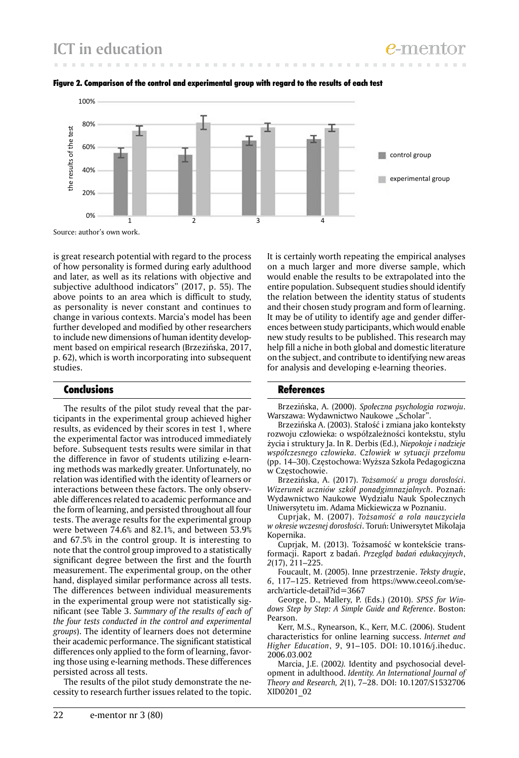



is great research potential with regard to the process of how personality is formed during early adulthood and later, as well as its relations with objective and subjective adulthood indicators" (2017, p. 55). The above points to an area which is difficult to study, as personality is never constant and continues to change in various contexts. Marcia's model has been further developed and modified by other researchers to include new dimensions of human identity development based on empirical research (Brzezińska, 2017, p. 62), which is worth incorporating into subsequent studies.

#### Conclusions

The results of the pilot study reveal that the participants in the experimental group achieved higher results, as evidenced by their scores in test 1, where the experimental factor was introduced immediately before. Subsequent tests results were similar in that the difference in favor of students utilizing e-learning methods was markedly greater. Unfortunately, no relation was identified with the identity of learners or interactions between these factors. The only observable differences related to academic performance and the form of learning, and persisted throughout all four tests. The average results for the experimental group were between 74.6% and 82.1%, and between 53.9% and 67.5% in the control group. It is interesting to note that the control group improved to a statistically significant degree between the first and the fourth measurement. The experimental group, on the other hand, displayed similar performance across all tests. The differences between individual measurements in the experimental group were not statistically significant (see Table 3. *Summary of the results of each of the four tests conducted in the control and experimental groups*). The identity of learners does not determine their academic performance. The significant statistical differences only applied to the form of learning, favoring those using e-learning methods. These differences persisted across all tests.

The results of the pilot study demonstrate the necessity to research further issues related to the topic.

It is certainly worth repeating the empirical analyses on a much larger and more diverse sample, which would enable the results to be extrapolated into the entire population. Subsequent studies should identify the relation between the identity status of students and their chosen study program and form of learning. It may be of utility to identify age and gender differences between study participants, which would enable new study results to be published. This research may help fill a niche in both global and domestic literature on the subject, and contribute to identifying new areas for analysis and developing e-learning theories.

#### **References**

Brzezińska, A. (2000). *Społeczna psychologia rozwoju*. Warszawa: Wydawnictwo Naukowe "Scholar".

Brzezińska A. (2003). Stałość i zmiana jako konteksty rozwoju człowieka: o współzależności kontekstu, stylu życia i struktury Ja. In R. Derbis (Ed.), *Niepokoje i nadzieje współczesnego człowieka. Człowiek w sytuacji przełomu* (pp. 14–30). Częstochowa: Wyższa Szkoła Pedagogiczna w Częstochowie.

Brzezińska, A. (2017). *Tożsamość u progu dorosłości*. *Wizerunek uczniów szkół ponadgimnazjalnych*. Poznań: Wydawnictwo Naukowe Wydziału Nauk Społecznych Uniwersytetu im. Adama Mickiewicza w Poznaniu.

Cuprjak, M. (2007). *Tożsamość a rola nauczyciela w okresie wczesnej dorosłości*. Toruń: Uniwersytet Mikołaja Kopernika.

Cuprjak, M. (2013). Tożsamość w kontekście transformacji. Raport z badań. *Przegląd badań edukacyjnych*, *2*(17), 211–225.

Foucault, M. (2005). Inne przestrzenie. *Teksty drugie*, *6*, 117–125. Retrieved from https://www.ceeol.com/search/article-detail?id=3667

George, D., Mallery, P. (Eds.) (2010). *SPSS for Windows Step by Step: A Simple Guide and Reference*. Boston: Pearson.

Kerr, M.S., Rynearson, K., Kerr, M.C. (2006). Student characteristics for online learning success. *Internet and Higher Education*, *9*, 91–105. DOI: 10.1016/j.iheduc. 2006.03.002

Marcia, J.E. (2002*).* Identity and psychosocial development in adulthood. *Identity. An International Journal of Theory and Research, 2*(1), 7–28. DOI: 10.1207/S1532706 XID0201\_02